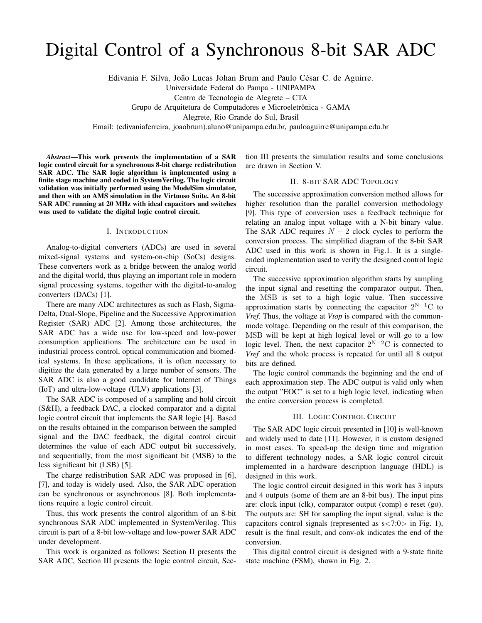# Digital Control of a Synchronous 8-bit SAR ADC

Edivania F. Silva, João Lucas Johan Brum and Paulo César C. de Aguirre.

Universidade Federal do Pampa - UNIPAMPA

Centro de Tecnologia de Alegrete – CTA

Grupo de Arquitetura de Computadores e Microeletrônica - GAMA

Alegrete, Rio Grande do Sul, Brasil

Email: (edivaniaferreira, joaobrum).aluno@unipampa.edu.br, pauloaguirre@unipampa.edu.br

*Abstract*—This work presents the implementation of a SAR logic control circuit for a synchronous 8-bit charge redistribution SAR ADC. The SAR logic algorithm is implemented using a finite stage machine and coded in SystemVerilog. The logic circuit validation was initially performed using the ModelSim simulator, and then with an AMS simulation in the Virtuoso Suite. An 8-bit SAR ADC running at 20 MHz with ideal capacitors and switches was used to validate the digital logic control circuit.

#### I. INTRODUCTION

Analog-to-digital converters (ADCs) are used in several mixed-signal systems and system-on-chip (SoCs) designs. These converters work as a bridge between the analog world and the digital world, thus playing an important role in modern signal processing systems, together with the digital-to-analog converters (DACs) [1].

There are many ADC architectures as such as Flash, Sigma-Delta, Dual-Slope, Pipeline and the Successive Approximation Register (SAR) ADC [2]. Among those architectures, the SAR ADC has a wide use for low-speed and low-power consumption applications. The architecture can be used in industrial process control, optical communication and biomedical systems. In these applications, it is often necessary to digitize the data generated by a large number of sensors. The SAR ADC is also a good candidate for Internet of Things (IoT) and ultra-low-voltage (ULV) applications [3].

The SAR ADC is composed of a sampling and hold circuit (S&H), a feedback DAC, a clocked comparator and a digital logic control circuit that implements the SAR logic [4]. Based on the results obtained in the comparison between the sampled signal and the DAC feedback, the digital control circuit determines the value of each ADC output bit successively, and sequentially, from the most significant bit (MSB) to the less significant bit (LSB) [5].

The charge redistribution SAR ADC was proposed in [6], [7], and today is widely used. Also, the SAR ADC operation can be synchronous or asynchronous [8]. Both implementations require a logic control circuit.

Thus, this work presents the control algorithm of an 8-bit synchronous SAR ADC implemented in SystemVerilog. This circuit is part of a 8-bit low-voltage and low-power SAR ADC under development.

This work is organized as follows: Section II presents the SAR ADC, Section III presents the logic control circuit, Section III presents the simulation results and some conclusions are drawn in Section V.

# II. 8-BIT SAR ADC TOPOLOGY

The successive approximation conversion method allows for higher resolution than the parallel conversion methodology [9]. This type of conversion uses a feedback technique for relating an analog input voltage with a N-bit binary value. The SAR ADC requires  $N + 2$  clock cycles to perform the conversion process. The simplified diagram of the 8-bit SAR ADC used in this work is shown in Fig.1. It is a singleended implementation used to verify the designed control logic circuit.

The successive approximation algorithm starts by sampling the input signal and resetting the comparator output. Then, the MSB is set to a high logic value. Then successive approximation starts by connecting the capacitor  $2^{N-1}C$  to *Vref*. Thus, the voltage at *Vtop* is compared with the commonmode voltage. Depending on the result of this comparison, the MSB will be kept at high logical level or will go to a low logic level. Then, the next capacitor  $2^{N-2}C$  is connected to *Vref* and the whole process is repeated for until all 8 output bits are defined.

The logic control commands the beginning and the end of each approximation step. The ADC output is valid only when the output "EOC" is set to a high logic level, indicating when the entire conversion process is completed.

#### III. LOGIC CONTROL CIRCUIT

The SAR ADC logic circuit presented in [10] is well-known and widely used to date [11]. However, it is custom designed in most cases. To speed-up the design time and migration to different technology nodes, a SAR logic control circuit implemented in a hardware description language (HDL) is designed in this work.

The logic control circuit designed in this work has 3 inputs and 4 outputs (some of them are an 8-bit bus). The input pins are: clock input (clk), comparator output (comp) e reset (go). The outputs are: SH for sampling the input signal, value is the capacitors control signals (represented as  $s < 7:0>$  in Fig. 1), result is the final result, and conv-ok indicates the end of the conversion.

This digital control circuit is designed with a 9-state finite state machine (FSM), shown in Fig. 2.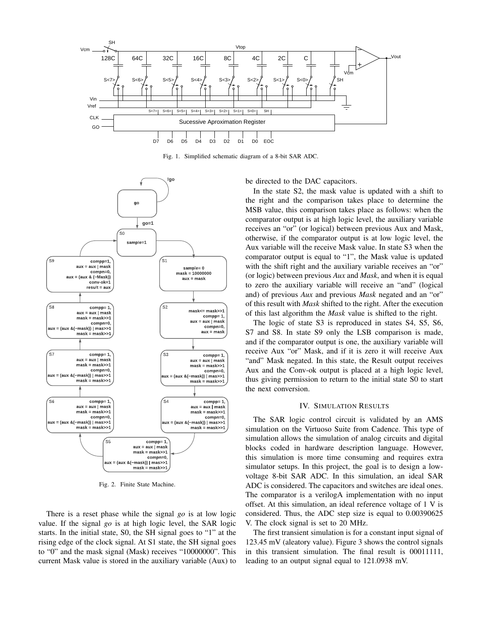

Fig. 1. Simplified schematic diagram of a 8-bit SAR ADC.



Fig. 2. Finite State Machine.

There is a reset phase while the signal *go* is at low logic value. If the signal *go* is at high logic level, the SAR logic starts. In the initial state, S0, the SH signal goes to "1" at the rising edge of the clock signal. At S1 state, the SH signal goes to "0" and the mask signal (Mask) receives "10000000". This current Mask value is stored in the auxiliary variable (Aux) to be directed to the DAC capacitors.

In the state S2, the mask value is updated with a shift to the right and the comparison takes place to determine the MSB value, this comparison takes place as follows: when the comparator output is at high logic level, the auxiliary variable receives an "or" (or logical) between previous Aux and Mask, otherwise, if the comparator output is at low logic level, the Aux variable will the receive Mask value. In state S3 when the comparator output is equal to "1", the Mask value is updated with the shift right and the auxiliary variable receives an "or" (or logic) between previous *Aux* and *Mask*, and when it is equal to zero the auxiliary variable will receive an "and" (logical and) of previous *Aux* and previous *Mask* negated and an "or" of this result with *Mask* shifted to the right. After the execution of this last algorithm the *Mask* value is shifted to the right.

The logic of state S3 is reproduced in states S4, S5, S6, S7 and S8. In state S9 only the LSB comparison is made, and if the comparator output is one, the auxiliary variable will receive Aux "or" Mask, and if it is zero it will receive Aux "and" Mask negated. In this state, the Result output receives Aux and the Conv-ok output is placed at a high logic level, thus giving permission to return to the initial state S0 to start the next conversion.

## IV. SIMULATION RESULTS

The SAR logic control circuit is validated by an AMS simulation on the Virtuoso Suite from Cadence. This type of simulation allows the simulation of analog circuits and digital blocks coded in hardware description language. However, this simulation is more time consuming and requires extra simulator setups. In this project, the goal is to design a lowvoltage 8-bit SAR ADC. In this simulation, an ideal SAR ADC is considered. The capacitors and switches are ideal ones. The comparator is a verilogA implementation with no input offset. At this simulation, an ideal reference voltage of 1 V is considered. Thus, the ADC step size is equal to 0.00390625 V. The clock signal is set to 20 MHz.

The first transient simulation is for a constant input signal of 123.45 mV (aleatory value). Figure 3 shows the control signals in this transient simulation. The final result is 00011111, leading to an output signal equal to 121.0938 mV.